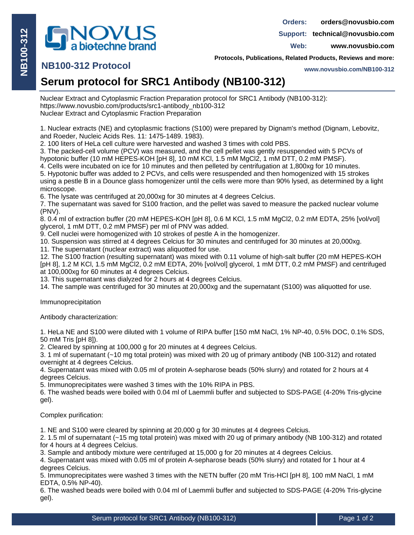

 **orders@novusbio.com Orders:**

**Support: technical@novusbio.com**

**Web: www.novusbio.com**

**Protocols, Publications, Related Products, Reviews and more:**

## **NB100-312 Protocol**

**www.novusbio.com/NB100-312**

## **Serum protocol for SRC1 Antibody (NB100-312)**

Nuclear Extract and Cytoplasmic Fraction Preparation protocol for SRC1 Antibody (NB100-312): https://www.novusbio.com/products/src1-antibody\_nb100-312 Nuclear Extract and Cytoplasmic Fraction Preparation

1. Nuclear extracts (NE) and cytoplasmic fractions (S100) were prepared by Dignam's method (Dignam, Lebovitz, and Roeder, Nucleic Acids Res. 11: 1475-1489. 1983).

2. 100 liters of HeLa cell culture were harvested and washed 3 times with cold PBS.

3. The packed-cell volume (PCV) was measured, and the cell pellet was gently resuspended with 5 PCVs of hypotonic buffer (10 mM HEPES-KOH [pH 8], 10 mM KCl, 1.5 mM MgCl2, 1 mM DTT, 0.2 mM PMSF).

4. Cells were incubated on ice for 10 minutes and then pelleted by centrifugation at 1,800xg for 10 minutes.

5. Hypotonic buffer was added to 2 PCVs, and cells were resuspended and then homogenized with 15 strokes using a pestle B in a Dounce glass homogenizer until the cells were more than 90% lysed, as determined by a light microscope.

6. The lysate was centrifuged at 20,000xg for 30 minutes at 4 degrees Celcius.

7. The supernatant was saved for S100 fraction, and the pellet was saved to measure the packed nuclear volume (PNV).

8. 0.4 ml of extraction buffer (20 mM HEPES-KOH [pH 8], 0.6 M KCl, 1.5 mM MgCl2, 0.2 mM EDTA, 25% [vol/vol] glycerol, 1 mM DTT, 0.2 mM PMSF) per ml of PNV was added.

9. Cell nuclei were homogenized with 10 strokes of pestle A in the homogenizer.

10. Suspension was stirred at 4 degrees Celcius for 30 minutes and centrifuged for 30 minutes at 20,000xg.

11. The supernatant (nuclear extract) was aliquotted for use.

12. The S100 fraction (resulting supernatant) was mixed with 0.11 volume of high-salt buffer (20 mM HEPES-KOH [pH 8], 1.2 M KCl, 1.5 mM MgCl2, 0.2 mM EDTA, 20% [vol/vol] glycerol, 1 mM DTT, 0.2 mM PMSF) and centrifuged at 100,000xg for 60 minutes at 4 degrees Celcius.

13. This supernatant was dialyzed for 2 hours at 4 degrees Celcius.

14. The sample was centrifuged for 30 minutes at 20,000xg and the supernatant (S100) was aliquotted for use.

Immunoprecipitation

Antibody characterization:

1. HeLa NE and S100 were diluted with 1 volume of RIPA buffer [150 mM NaCl, 1% NP-40, 0.5% DOC, 0.1% SDS, 50 mM Tris [pH 8]).

2. Cleared by spinning at 100,000 g for 20 minutes at 4 degrees Celcius.

3. 1 ml of supernatant (~10 mg total protein) was mixed with 20 ug of primary antibody (NB 100-312) and rotated overnight at 4 degrees Celcius.

4. Supernatant was mixed with 0.05 ml of protein A-sepharose beads (50% slurry) and rotated for 2 hours at 4 degrees Celcius.

5. Immunoprecipitates were washed 3 times with the 10% RIPA in PBS.

6. The washed beads were boiled with 0.04 ml of Laemmli buffer and subjected to SDS-PAGE (4-20% Tris-glycine gel).

Complex purification:

1. NE and S100 were cleared by spinning at 20,000 g for 30 minutes at 4 degrees Celcius.

2. 1.5 ml of supernatant (~15 mg total protein) was mixed with 20 ug of primary antibody (NB 100-312) and rotated for 4 hours at 4 degrees Celcius.

3. Sample and antibody mixture were centrifuged at 15,000 g for 20 minutes at 4 degrees Celcius.

4. Supernatant was mixed with 0.05 ml of protein A-sepharose beads (50% slurry) and rotated for 1 hour at 4 degrees Celcius.

5. Immunoprecipitates were washed 3 times with the NETN buffer (20 mM Tris-HCl [pH 8], 100 mM NaCl, 1 mM EDTA, 0.5% NP-40).

6. The washed beads were boiled with 0.04 ml of Laemmli buffer and subjected to SDS-PAGE (4-20% Tris-glycine gel).